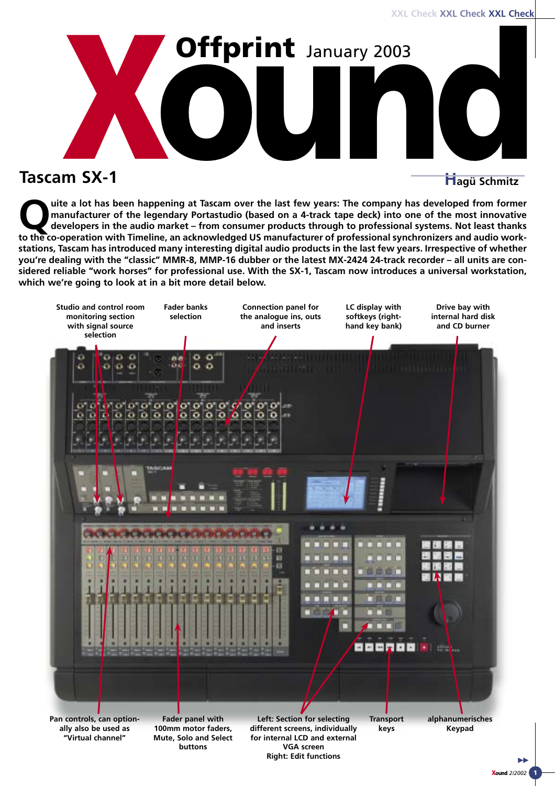

uite a lot has been happening at Tascam over the last few years: The company has developed from former<br>manufacturer of the legendary Portastudio (based on a 4-track tape deck) into one of the most innovative<br>developers in **manufacturer of the legendary Portastudio (based on a 4-track tape deck) into one of the most innovative to the co-operation with Timeline, an acknowledged US manufacturer of professional synchronizers and audio workstations, Tascam has introduced many interesting digital audio products in the last few years. Irrespective of whether you're dealing with the "classic" MMR-8, MMP-16 dubber or the latest MX-2424 24-track recorder – all units are considered reliable "work horses" for professional use. With the SX-1, Tascam now introduces a universal workstation, which we're going to look at in a bit more detail below.**

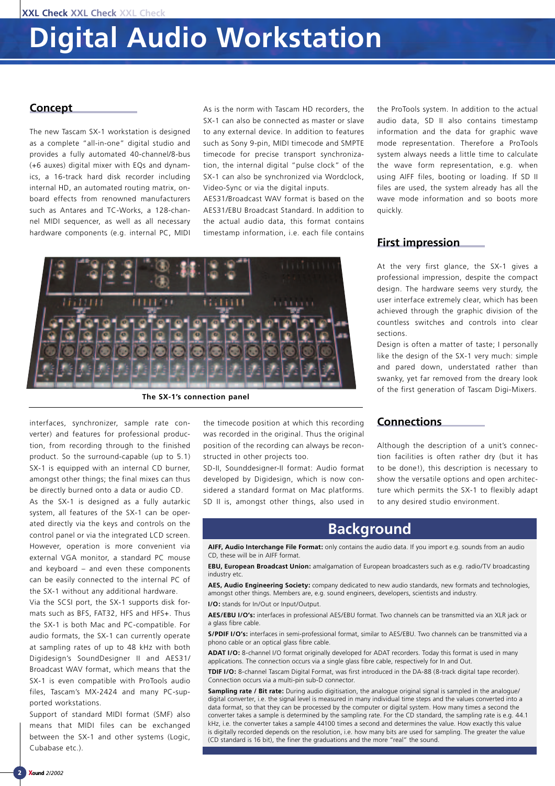#### **Concept**

The new Tascam SX-1 workstation is designed as a complete "all-in-one" digital studio and provides a fully automated 40-channel/8-bus (+6 auxes) digital mixer with EQs and dynamics, a 16-track hard disk recorder including internal HD, an automated routing matrix, onboard effects from renowned manufacturers such as Antares and TC-Works, a 128-channel MIDI sequencer, as well as all necessary hardware components (e.g. internal PC, MIDI

As is the norm with Tascam HD recorders, the SX-1 can also be connected as master or slave to any external device. In addition to features such as Sony 9-pin, MIDI timecode and SMPTE timecode for precise transport synchronization, the internal digital "pulse clock" of the SX-1 can also be synchronized via Wordclock, Video-Sync or via the digital inputs.

AES31/Broadcast WAV format is based on the AES31/EBU Broadcast Standard. In addition to the actual audio data, this format contains timestamp information, i.e. each file contains



**The SX-1's connection panel** 

interfaces, synchronizer, sample rate converter) and features for professional production, from recording through to the finished product. So the surround-capable (up to 5.1) SX-1 is equipped with an internal CD burner, amongst other things; the final mixes can thus be directly burned onto a data or audio CD.

As the SX-1 is designed as a fully autarkic system, all features of the SX-1 can be operated directly via the keys and controls on the control panel or via the integrated LCD screen. However, operation is more convenient via external VGA monitor, a standard PC mouse and keyboard – and even these components can be easily connected to the internal PC of the SX-1 without any additional hardware.

Via the SCSI port, the SX-1 supports disk formats such as BFS, FAT32, HFS and HFS+. Thus the SX-1 is both Mac and PC-compatible. For audio formats, the SX-1 can currently operate at sampling rates of up to 48 kHz with both Digidesign's SoundDesigner II and AES31/ Broadcast WAV format, which means that the SX-1 is even compatible with ProTools audio files, Tascam's MX-2424 and many PC-supported workstations.

Support of standard MIDI format (SMF) also means that MIDI files can be exchanged between the SX-1 and other systems (Logic, Cubabase etc.)

the timecode position at which this recording was recorded in the original. Thus the original position of the recording can always be reconstructed in other projects too.

SD-II, Sounddesigner-II format: Audio format developed by Digidesign, which is now considered a standard format on Mac platforms. SD II is, amongst other things, also used in

the ProTools system. In addition to the actual audio data, SD II also contains timestamp information and the data for graphic wave mode representation. Therefore a ProTools system always needs a little time to calculate the wave form representation, e.g. when using AIFF files, booting or loading. If SD II files are used, the system already has all the wave mode information and so boots more quickly.

### **First impression**

At the very first glance, the SX-1 gives a professional impression, despite the compact design. The hardware seems very sturdy, the user interface extremely clear, which has been achieved through the graphic division of the countless switches and controls into clear sections.

Design is often a matter of taste; I personally like the design of the SX-1 very much: simple and pared down, understated rather than swanky, yet far removed from the dreary look of the first generation of Tascam Digi-Mixers.

#### **Connections**

Although the description of a unit's connection facilities is often rather dry (but it has to be done!), this description is necessary to show the versatile options and open architecture which permits the SX-1 to flexibly adapt to any desired studio environment.

## **Background**

**AIFF, Audio Interchange File Format:** only contains the audio data. If you import e.g. sounds from an audio CD, these will be in AIFF format.

**EBU, European Broadcast Union:** amalgamation of European broadcasters such as e.g. radio/TV broadcasting industry etc.

**AES, Audio Engineering Society:** company dedicated to new audio standards, new formats and technologies, amongst other things. Members are, e.g. sound engineers, developers, scientists and industry.

**I/O:** stands for In/Out or Input/Output.

**AES/EBU I/O's:** interfaces in professional AES/EBU format. Two channels can be transmitted via an XLR jack or a glass fibre cable.

**S/PDIF I/O's:** interfaces in semi-professional format, similar to AES/EBU. Two channels can be transmitted via a phono cable or an optical glass fibre cable.

**ADAT I/O:** 8-channel I/O format originally developed for ADAT recorders. Today this format is used in many applications. The connection occurs via a single glass fibre cable, respectively for In and Out.

**TDIF I/O:** 8-channel Tascam Digital Format, was first introduced in the DA-88 (8-track digital tape recorder). Connection occurs via a multi-pin sub-D connector.

**Sampling rate / Bit rate:** During audio digitisation, the analogue original signal is sampled in the analogue/ digital converter, i.e. the signal level is measured in many individual time steps and the values converted into a data format, so that they can be processed by the computer or digital system. How many times a second the converter takes a sample is determined by the sampling rate. For the CD standard, the sampling rate is e.g. 44.1 kHz, i.e. the converter takes a sample 44100 times a second and determines the value. How exactly this value. is digitally recorded depends on the resolution, i.e. how many bits are used for sampling. The greater the value (CD standard is 16 bit), the finer the graduations and the more "real" the sound.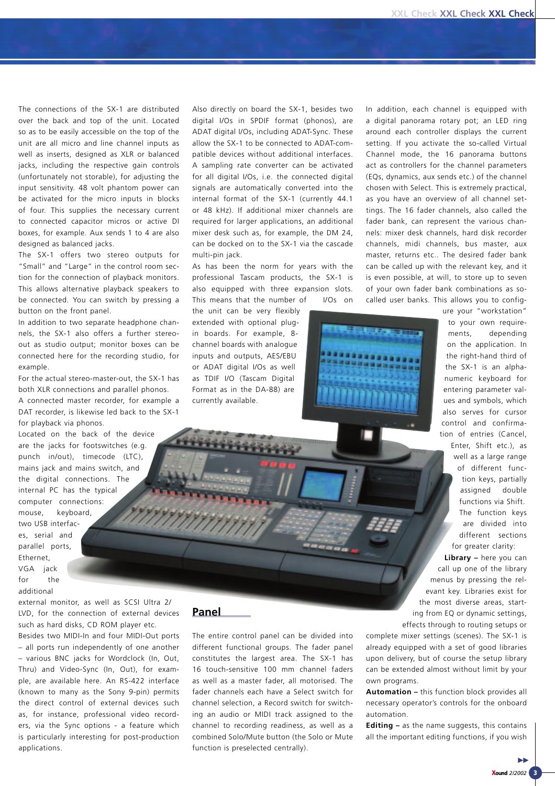The connections of the SX-1 are distributed over the back and top of the unit. Located so as to be easily accessible on the top of the unit are all micro and line channel inputs as well as inserts, designed as XLR or balanced jacks, including the respective gain controls (unfortunately not storable), for adjusting the input sensitivity. 48 volt phantom power can be activated for the micro inputs in blocks of four. This supplies the necessary current to connected capacitor micros or active DI boxes, for example. Aux sends 1 to 4 are also designed as balanced jacks.

The SX-1 offers two stereo outputs for "Small" and "Large" in the control room section for the connection of playback monitors. This allows alternative playback speakers to be connected. You can switch by pressing a button on the front panel.

In addition to two separate headphone channels, the SX-1 also offers a further stereoout as studio output; monitor boxes can be connected here for the recording studio, for example.

For the actual stereo-master-out, the SX-1 has both XLR connections and parallel phonos. A connected master recorder, for example a DAT recorder, is likewise led back to the SX-1 for playback via phonos.

Located on the back of the device are the jacks for footswitches (e.g. punch in/out), timecode (LTC), mains jack and mains switch, and the digital connections. The internal PC has the typical computer connections: mouse, keyboard, two USB interfaces, serial and parallel ports, Ethernet, VGA jack for the

additional

external monitor, as well as SCSI Ultra 2/ LVD, for the connection of external devices such as hard disks, CD ROM player etc.

Besides two MIDI-In and four MIDI-Out ports – all ports run independently of one another – various BNC jacks for Wordclock (In, Out, Thru) and Video-Sync (In, Out), for example, are available here. An RS-422 interface (known to many as the Sony 9-pin) permits the direct control of external devices such as, for instance, professional video recorders, via the Sync options - a feature which is particularly interesting for post-production applications.

Also directly on board the SX-1, besides two digital I/Os in SPDIF format (phonos), are ADAT digital I/Os, including ADAT-Sync. These allow the SX-1 to be connected to ADAT-compatible devices without additional interfaces. A sampling rate converter can be activated for all digital I/Os, i.e. the connected digital signals are automatically converted into the internal format of the SX-1 (currently 44.1 or 48 kHz). If additional mixer channels are required for larger applications, an additional mixer desk such as, for example, the DM 24, can be docked on to the SX-1 via the cascade multi-pin jack.

As has been the norm for years with the professional Tascam products, the SX-1 is also equipped with three expansion slots. This means that the number of I/Os on

the unit can be very flexibly extended with optional plugin boards. For example, 8 channel boards with analogue inputs and outputs, AES/EBU or ADAT digital I/Os as well as TDIF I/O (Tascam Digital Format as in the DA-88) are currently available.

In addition, each channel is equipped with a digital panorama rotary pot; an LED ring around each controller displays the current setting. If you activate the so-called Virtual Channel mode, the 16 panorama buttons act as controllers for the channel parameters (EQs, dynamics, aux sends etc.) of the channel chosen with Select. This is extremely practical, as you have an overview of all channel settings. The 16 fader channels, also called the fader bank, can represent the various channels: mixer desk channels, hard disk recorder channels, midi channels, bus master, aux master, returns etc.. The desired fader bank can be called up with the relevant key, and it is even possible, at will, to store up to seven of your own fader bank combinations as socalled user banks. This allows you to config-



to your own requirements, depending on the application. In the right-hand third of the SX-1 is an alphanumeric keyboard for entering parameter values and symbols, which also serves for cursor control and confirmation of entries (Cancel,

ure your "workstation"

Enter, Shift etc.), as well as a large range of different function keys, partially assigned double functions via Shift. The function keys are divided into different sections for greater clarity:

**Library –** here you can call up one of the library menus by pressing the relevant key. Libraries exist for the most diverse areas, starting from EQ or dynamic settings, effects through to routing setups or

complete mixer settings (scenes). The SX-1 is already equipped with a set of good libraries upon delivery, but of course the setup library can be extended almost without limit by your own programs.

**Automation –** this function block provides all necessary operator's controls for the onboard automation.

**Editing –** as the name suggests, this contains all the important editing functions, if you wish

#### **Panel**

The entire control panel can be divided into different functional groups. The fader panel constitutes the largest area. The SX-1 has 16 touch-sensitive 100 mm channel faders as well as a master fader, all motorised. The fader channels each have a Select switch for channel selection, a Record switch for switching an audio or MIDI track assigned to the channel to recording readiness, as well as a combined Solo/Mute button (the Solo or Mute function is preselected centrally).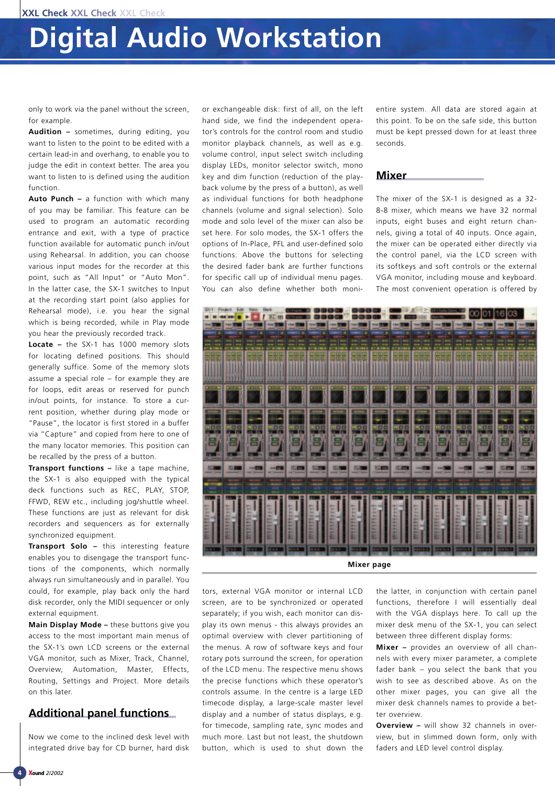only to work via the panel without the screen, for example.

**Audition –** sometimes, during editing, you want to listen to the point to be edited with a certain lead-in and overhang, to enable you to judge the edit in context better. The area you want to listen to is defined using the audition function.

**Auto Punch –** a function with which many of you may be familiar. This feature can be used to program an automatic recording entrance and exit, with a type of practice function available for automatic punch in/out using Rehearsal. In addition, you can choose various input modes for the recorder at this point, such as "All Input" or "Auto Mon". In the latter case, the SX-1 switches to Input at the recording start point (also applies for Rehearsal mode), i.e. you hear the signal which is being recorded, while in Play mode you hear the previously recorded track.

**Locate –** the SX-1 has 1000 memory slots for locating defined positions. This should generally suffice. Some of the memory slots assume a special role – for example they are for loops, edit areas or reserved for punch in/out points, for instance. To store a current position, whether during play mode or "Pause", the locator is first stored in a buffer via "Capture" and copied from here to one of the many locator memories. This position can be recalled by the press of a button.

**Transport functions –** like a tape machine, the SX-1 is also equipped with the typical deck functions such as REC, PLAY, STOP, FFWD, REW etc., including jog/shuttle wheel. These functions are just as relevant for disk recorders and sequencers as for externally synchronized equipment.

**Transport Solo –** this interesting feature enables you to disengage the transport functions of the components, which normally always run simultaneously and in parallel. You could, for example, play back only the hard disk recorder, only the MIDI sequencer or only external equipment.

**Main Display Mode –** these buttons give you access to the most important main menus of the SX-1's own LCD screens or the external VGA monitor, such as Mixer, Track, Channel, Overview, Automation, Master, Effects, Routing, Settings and Project. More details on this later.

## **Additional panel functions**

Now we come to the inclined desk level with integrated drive bay for CD burner, hard disk or exchangeable disk: first of all, on the left hand side, we find the independent operator's controls for the control room and studio monitor playback channels, as well as e.g. volume control, input select switch including display LEDs, monitor selector switch, mono key and dim function (reduction of the playback volume by the press of a button), as well as individual functions for both headphone channels (volume and signal selection). Solo mode and solo level of the mixer can also be set here. For solo modes, the SX-1 offers the options of In-Place, PFL and user-defined solo functions. Above the buttons for selecting the desired fader bank are further functions for specific call up of individual menu pages. You can also define whether both monientire system. All data are stored again at this point. To be on the safe side, this button must be kept pressed down for at least three seconds.

#### **Mixer**

The mixer of the SX-1 is designed as a 32- 8-8 mixer, which means we have 32 normal inputs, eight buses and eight return channels, giving a total of 40 inputs. Once again, the mixer can be operated either directly via the control panel, via the LCD screen with its softkeys and soft controls or the external VGA monitor, including mouse and keyboard. The most convenient operation is offered by



tors, external VGA monitor or internal LCD screen, are to be synchronized or operated separately; if you wish, each monitor can display its own menus - this always provides an optimal overview with clever partitioning of the menus. A row of software keys and four rotary pots surround the screen, for operation of the LCD menu. The respective menu shows the precise functions which these operator's controls assume. In the centre is a large LED timecode display, a large-scale master level display and a number of status displays, e.g. for timecode, sampling rate, sync modes and much more. Last but not least, the shutdown button, which is used to shut down the the latter, in conjunction with certain panel functions, therefore I will essentially deal with the VGA displays here. To call up the mixer desk menu of the SX-1, you can select between three different display forms:

**Mixer –** provides an overview of all channels with every mixer parameter, a complete fader bank – you select the bank that you wish to see as described above. As on the other mixer pages, you can give all the mixer desk channels names to provide a better overview.

**Overview –** will show 32 channels in overview, but in slimmed down form, only with faders and LED level control display.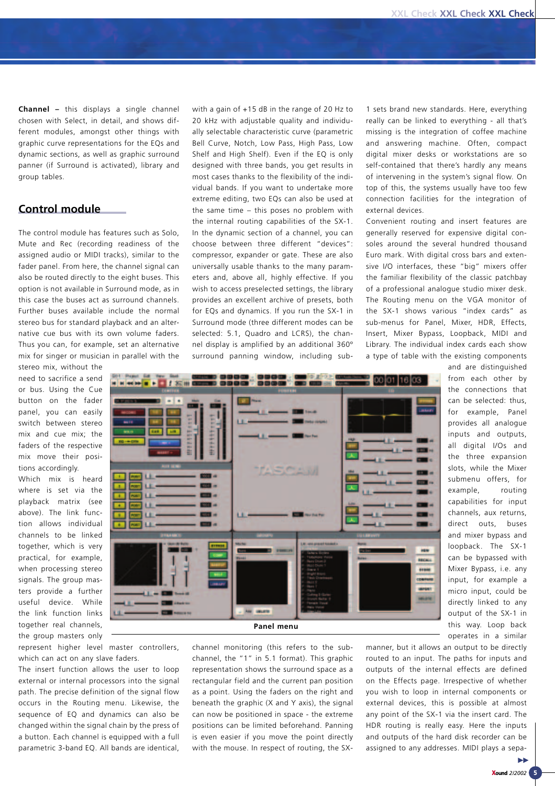**Channel –** this displays a single channel chosen with Select, in detail, and shows different modules, amongst other things with graphic curve representations for the EQs and dynamic sections, as well as graphic surround panner (if Surround is activated), library and group tables.

## **Control module**

The control module has features such as Solo, Mute and Rec (recording readiness of the assigned audio or MIDI tracks), similar to the fader panel. From here, the channel signal can also be routed directly to the eight buses. This option is not available in Surround mode, as in this case the buses act as surround channels. Further buses available include the normal stereo bus for standard playback and an alternative cue bus with its own volume faders. Thus you can, for example, set an alternative mix for singer or musician in parallel with the

stereo mix, without the need to sacrifice a send or bus. Using the Cue button on the fader panel, you can easily switch between stereo mix and cue mix; the faders of the respective mix move their positions accordingly.

Which mix is heard where is set via the playback matrix (see above). The link function allows individual channels to be linked together, which is very practical, for example, when processing stereo signals. The group masters provide a further useful device. While the link function links together real channels, the group masters only

represent higher level master controllers, which can act on any slave faders.

The insert function allows the user to loop external or internal processors into the signal path. The precise definition of the signal flow occurs in the Routing menu. Likewise, the sequence of EQ and dynamics can also be changed within the signal chain by the press of a button. Each channel is equipped with a full parametric 3-band EQ. All bands are identical, with a gain of +15 dB in the range of 20 Hz to 20 kHz with adjustable quality and individually selectable characteristic curve (parametric Bell Curve, Notch, Low Pass, High Pass, Low Shelf and High Shelf). Even if the EQ is only designed with three bands, you get results in most cases thanks to the flexibility of the individual bands. If you want to undertake more extreme editing, two EQs can also be used at the same time – this poses no problem with the internal routing capabilities of the SX-1. In the dynamic section of a channel, you can choose between three different "devices": compressor, expander or gate. These are also universally usable thanks to the many parameters and, above all, highly effective. If you wish to access preselected settings, the library provides an excellent archive of presets, both for EQs and dynamics. If you run the SX-1 in Surround mode (three different modes can be selected: 5.1, Quadro and LCRS), the channel display is amplified by an additional 360º surround panning window, including sub1 sets brand new standards. Here, everything really can be linked to everything - all that's missing is the integration of coffee machine and answering machine. Often, compact digital mixer desks or workstations are so self-contained that there's hardly any means of intervening in the system's signal flow. On top of this, the systems usually have too few connection facilities for the integration of external devices.

Convenient routing and insert features are generally reserved for expensive digital consoles around the several hundred thousand Euro mark. With digital cross bars and extensive I/O interfaces, these "big" mixers offer the familiar flexibility of the classic patchbay of a professional analogue studio mixer desk. The Routing menu on the VGA monitor of the SX-1 shows various "index cards" as sub-menus for Panel, Mixer, HDR, Effects, Insert, Mixer Bypass, Loopback, MIDI and Library. The individual index cards each show a type of table with the existing components



channel monitoring (this refers to the subchannel, the "1" in 5.1 format). This graphic representation shows the surround space as a rectangular field and the current pan position as a point. Using the faders on the right and beneath the graphic (X and Y axis), the signal can now be positioned in space - the extreme positions can be limited beforehand. Panning is even easier if you move the point directly with the mouse. In respect of routing, the SX- and are distinguished from each other by the connections that can be selected: thus, for example, Panel provides all analogue inputs and outputs, all digital I/Os and the three expansion slots, while the Mixer submenu offers, for example, routing capabilities for input channels, aux returns, direct outs, buses and mixer bypass and loopback. The SX-1 can be bypassed with Mixer Bypass, i.e. any input, for example a micro input, could be directly linked to any output of the SX-1 in this way. Loop back operates in a similar

manner, but it allows an output to be directly routed to an input. The paths for inputs and outputs of the internal effects are defined on the Effects page. Irrespective of whether you wish to loop in internal components or external devices, this is possible at almost any point of the SX-1 via the insert card. The HDR routing is really easy. Here the inputs and outputs of the hard disk recorder can be assigned to any addresses. MIDI plays a sepa-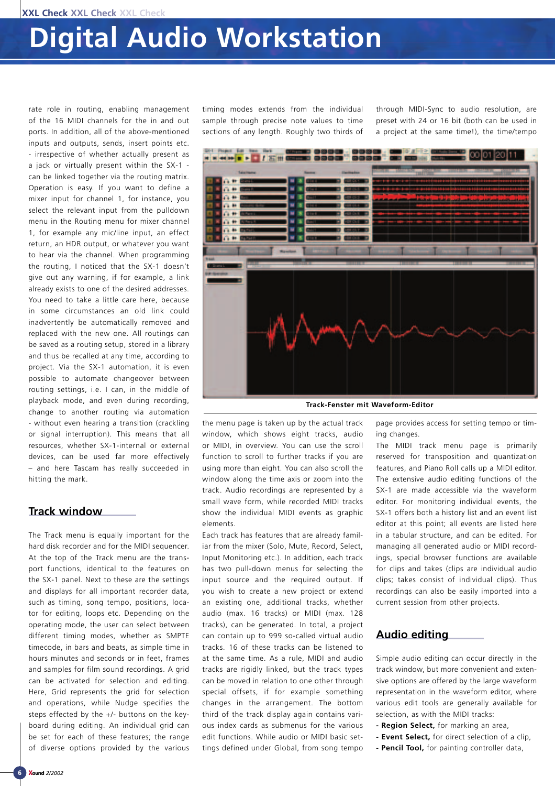rate role in routing, enabling management of the 16 MIDI channels for the in and out ports. In addition, all of the above-mentioned inputs and outputs, sends, insert points etc. - irrespective of whether actually present as a jack or virtually present within the SX-1 can be linked together via the routing matrix. Operation is easy. If you want to define a mixer input for channel 1, for instance, you select the relevant input from the pulldown menu in the Routing menu for mixer channel 1, for example any mic/line input, an effect return, an HDR output, or whatever you want to hear via the channel. When programming the routing, I noticed that the SX-1 doesn't give out any warning, if for example, a link already exists to one of the desired addresses. You need to take a little care here, because in some circumstances an old link could inadvertently be automatically removed and replaced with the new one. All routings can be saved as a routing setup, stored in a library and thus be recalled at any time, according to project. Via the SX-1 automation, it is even possible to automate changeover between routing settings, i.e. I can, in the middle of playback mode, and even during recording, change to another routing via automation - without even hearing a transition (crackling or signal interruption). This means that all resources, whether SX-1-internal or external devices, can be used far more effectively – and here Tascam has really succeeded in hitting the mark.

### **Track window**

The Track menu is equally important for the hard disk recorder and for the MIDI sequencer. At the top of the Track menu are the transport functions, identical to the features on the SX-1 panel. Next to these are the settings and displays for all important recorder data, such as timing, song tempo, positions, locator for editing, loops etc. Depending on the operating mode, the user can select between different timing modes, whether as SMPTE timecode, in bars and beats, as simple time in hours minutes and seconds or in feet, frames and samples for film sound recordings. A grid can be activated for selection and editing. Here, Grid represents the grid for selection and operations, while Nudge specifies the steps effected by the +/- buttons on the keyboard during editing. An individual grid can be set for each of these features; the range of diverse options provided by the various timing modes extends from the individual sample through precise note values to time sections of any length. Roughly two thirds of

through MIDI-Sync to audio resolution, are preset with 24 or 16 bit (both can be used in a project at the same time!), the time/tempo



**Track-Fenster mit Waveform-Editor**

the menu page is taken up by the actual track window, which shows eight tracks, audio or MIDI, in overview. You can use the scroll function to scroll to further tracks if you are using more than eight. You can also scroll the window along the time axis or zoom into the track. Audio recordings are represented by a small wave form, while recorded MIDI tracks show the individual MIDI events as graphic elements.

Each track has features that are already familiar from the mixer (Solo, Mute, Record, Select, Input Monitoring etc.). In addition, each track has two pull-down menus for selecting the input source and the required output. If you wish to create a new project or extend an existing one, additional tracks, whether audio (max. 16 tracks) or MIDI (max. 128 tracks), can be generated. In total, a project can contain up to 999 so-called virtual audio tracks. 16 of these tracks can be listened to at the same time. As a rule, MIDI and audio tracks are rigidly linked, but the track types can be moved in relation to one other through special offsets, if for example something changes in the arrangement. The bottom third of the track display again contains various index cards as submenus for the various edit functions. While audio or MIDI basic settings defined under Global, from song tempo page provides access for setting tempo or timing changes.

The MIDI track menu page is primarily reserved for transposition and quantization features, and Piano Roll calls up a MIDI editor. The extensive audio editing functions of the SX-1 are made accessible via the waveform editor. For monitoring individual events, the SX-1 offers both a history list and an event list editor at this point; all events are listed here in a tabular structure, and can be edited. For managing all generated audio or MIDI recordings, special browser functions are available for clips and takes (clips are individual audio clips; takes consist of individual clips). Thus recordings can also be easily imported into a current session from other projects.

## **Audio editing**

Simple audio editing can occur directly in the track window, but more convenient and extensive options are offered by the large waveform representation in the waveform editor, where various edit tools are generally available for selection, as with the MIDI tracks:

- **Region Select,** for marking an area,
- **Event Select,** for direct selection of a clip,
- **Pencil Tool,** for painting controller data,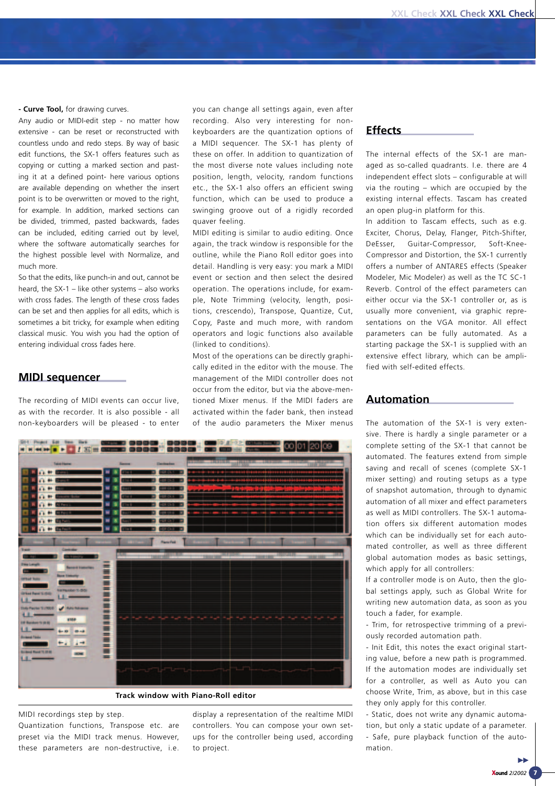**- Curve Tool,** for drawing curves.

Any audio or MIDI-edit step - no matter how extensive - can be reset or reconstructed with countless undo and redo steps. By way of basic edit functions, the SX-1 offers features such as copying or cutting a marked section and pasting it at a defined point- here various options are available depending on whether the insert point is to be overwritten or moved to the right, for example. In addition, marked sections can be divided, trimmed, pasted backwards, fades can be included, editing carried out by level, where the software automatically searches for the highest possible level with Normalize, and much more.

So that the edits, like punch-in and out, cannot be heard, the SX-1 – like other systems – also works with cross fades. The length of these cross fades can be set and then applies for all edits, which is sometimes a bit tricky, for example when editing classical music. You wish you had the option of entering individual cross fades here.

#### **MIDI sequencer**

The recording of MIDI events can occur live, as with the recorder. It is also possible - all non-keyboarders will be pleased - to enter you can change all settings again, even after recording. Also very interesting for nonkeyboarders are the quantization options of a MIDI sequencer. The SX-1 has plenty of these on offer. In addition to quantization of the most diverse note values including note position, length, velocity, random functions etc., the SX-1 also offers an efficient swing function, which can be used to produce a swinging groove out of a rigidly recorded quaver feeling.

MIDI editing is similar to audio editing. Once again, the track window is responsible for the outline, while the Piano Roll editor goes into detail. Handling is very easy: you mark a MIDI event or section and then select the desired operation. The operations include, for example, Note Trimming (velocity, length, positions, crescendo), Transpose, Quantize, Cut, Copy, Paste and much more, with random operators and logic functions also available (linked to conditions).

Most of the operations can be directly graphically edited in the editor with the mouse. The management of the MIDI controller does not occur from the editor, but via the above-mentioned Mixer menus. If the MIDI faders are activated within the fader bank, then instead of the audio parameters the Mixer menus



MIDI recordings step by step.

Quantization functions, Transpose etc. are preset via the MIDI track menus. However, these parameters are non-destructive, i.e. display a representation of the realtime MIDI controllers. You can compose your own setups for the controller being used, according to project.

### **Effects**

The internal effects of the SX-1 are managed as so-called quadrants. I.e. there are 4 independent effect slots – configurable at will via the routing – which are occupied by the existing internal effects. Tascam has created an open plug-in platform for this.

In addition to Tascam effects, such as e.g. Exciter, Chorus, Delay, Flanger, Pitch-Shifter, DeEsser, Guitar-Compressor, Soft-Knee-Compressor and Distortion, the SX-1 currently offers a number of ANTARES effects (Speaker Modeler, Mic Modeler) as well as the TC SC-1 Reverb. Control of the effect parameters can either occur via the SX-1 controller or, as is usually more convenient, via graphic representations on the VGA monitor. All effect parameters can be fully automated. As a starting package the SX-1 is supplied with an extensive effect library, which can be amplified with self-edited effects.

#### **Automation**

The automation of the SX-1 is very extensive. There is hardly a single parameter or a complete setting of the SX-1 that cannot be automated. The features extend from simple saving and recall of scenes (complete SX-1 mixer setting) and routing setups as a type of snapshot automation, through to dynamic automation of all mixer and effect parameters as well as MIDI controllers. The SX-1 automation offers six different automation modes which can be individually set for each automated controller, as well as three different global automation modes as basic settings, which apply for all controllers:

If a controller mode is on Auto, then the global settings apply, such as Global Write for writing new automation data, as soon as you touch a fader, for example.

- Trim, for retrospective trimming of a previously recorded automation path.

- Init Edit, this notes the exact original starting value, before a new path is programmed. If the automation modes are individually set for a controller, as well as Auto you can choose Write, Trim, as above, but in this case they only apply for this controller.

- Static, does not write any dynamic automation, but only a static update of a parameter. - Safe, pure playback function of the automation.